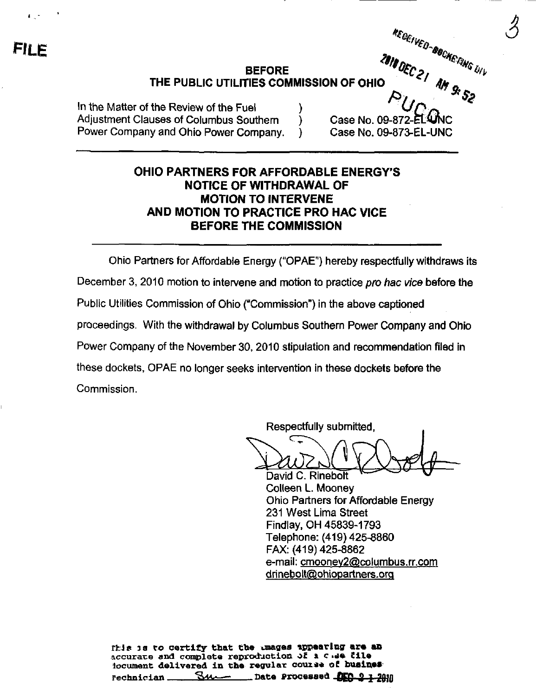## BEFORE '^C^ , ^ % THE PUBLIC UTILITIES COMMISSION OF OHIO

In the Matter of the Review of the Fuel Adjustment Clauses of Columbus Southern (a) Case No. 09-872-ELWNC<br>Power Company and Ohio Power Company. (b) Case No. 09-873-EL-UNC Power Company and Ohio Power Company. )

 $\mathcal{S}_{\mathbb{R}}$ 

## OHIO PARTNERS FOR AFFORDABLE ENERGY'S NOTICE OF WITHDRAWAL OF MOTION TO INTERVENE AND MOTION TO PRACTICE PRO HAC VICE BEFORE THE COMMISSION

Ohio Partners for Affordable Energy ("OPAE") hereby respectfully withdraws its December 3, 2010 motion to intervene and motion to practice pro hac vice before the Public Utilities Commission of Ohio ("Commission") in the above captioned proceedings. With the withdrawal by Columbus Southern Power Company and Ohio Power Company of the November 30, 2010 stipulation and recommendation filed in these dockets, OPAE no longer seeks intervention in these dockets before the Commission.

Respectfully submitted,

David C. Rinebolt Colleen L. Mooney Ohio Partners for Affordable Energy 231 West Lima Street Findlay. OH 45839-1793 Telephone: (419) 425-8860 FAX: (419) 425-8862 e-mail: cmooney2@columbus.rr.com drinebolt@ohiopartners.org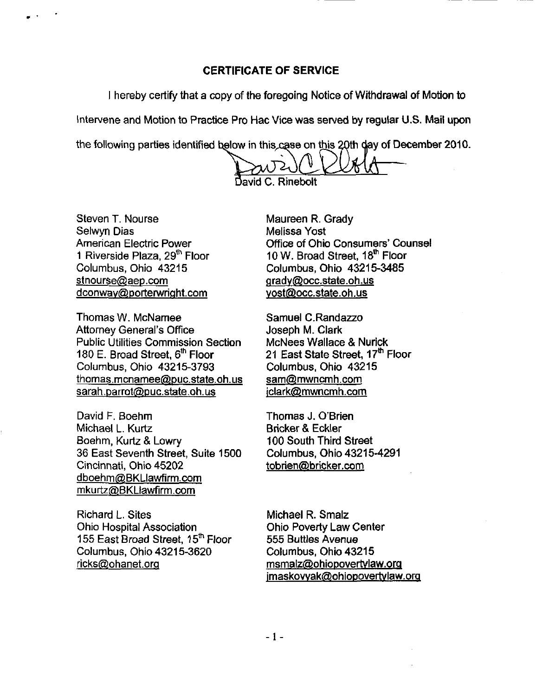## CERTIFICATE OF SERVICE

I hereby certify that a copy of the foregoing Notice of Withdrawal of Motion to

Intervene and Motion to Practice Pro Hac Vice was served by regular U.S. Mail upon

the following parties identified below in this case on this 20th day of December 2010.

 $\mathsf{A}$ d C. Rinebolt

Steven T. Nourse Selwyn Dias American Electric Power 1 Riverside Plaza, 29<sup>th</sup> Floor Columbus, Ohio 43215 stnourse@aep.com [dconwav@porterwright.com](mailto:dconwav@porterwright.com) 

Thomas W. McNamee Attorney General's Office Public Utilities Commission Section 180 E. Broad Street,  $6<sup>th</sup>$  Floor Columbus, Ohio 43215-3793 thomas.mcnamee@puc.state.oh.us sarah.parrot@puc.state.oh.us

David F. Boehm Michael L. Kurtz Boehm, Kurtz & Lowry 36 East Seventh Street. Suite 1500 Cincinnati, Ohio 45202 [dboehm@BKLIawfirm.com](mailto:dboehm@BKLIawfirm.com)  mkurtz@BKLlawfirm.com

Richard L. Sites Ohio Hospital Association 155 East Broad Street, 15<sup>th</sup> Floor Columbus, Ohio 43215-3620 [ricks@ohanet.orq](mailto:ricks@ohanet.orq)

Maureen R. Grady Melissa Yost Office of Ohio Consumers' Counsel 10 W. Broad Street, 18<sup>th</sup> Floor Columbus, Ohio 43215-3485 [Qradv@occ.state.oh.us](mailto:Qradv@occ.state.oh.us)  [vost@occ.state.oh.us](mailto:vost@occ.state.oh.us) 

Samuel C.Randazzo Joseph M. Clark McNees Wallace & Nurick 21 East State Street, 17<sup>th</sup> Floor Columbus, Ohio 43215 [sam@mwncmh.com](mailto:sam@mwncmh.com)  [iclark@mwncmh.com](mailto:iclark@mwncmh.com) 

Thomas J. O'Brien Bricker & Eckler 100 South Third Street Columbus, Ohio 43215-4291 tobrien@bricker.com

Michael R. Smalz Ohio Poverty Law Center 555 Buttles Avenue Columbus, Ohio 43215 [msmalz@ohiopovertvlaw.org](mailto:msmalz@ohiopovertvlaw.org)  [imaskovvak@ohiopovertvlaw.orq](mailto:imaskovvak@ohiopovertvlaw.orq)